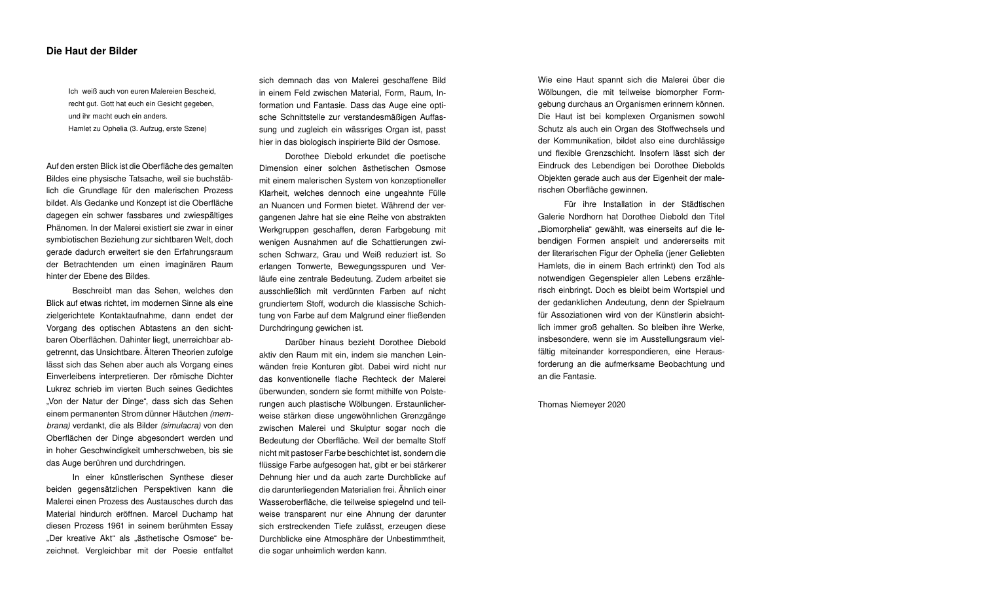## Die Haut der Bilder

Auf den ersten Blick ist die Oberfläche des gemalten Bildes eine physische Tatsache, weil sie buchstäblich die Grundlage für den malerischen Prozess bildet. Als Gedanke und Konzept ist die Oberfläche dagegen ein schwer fassbares und zwiespältiges Phänomen. In der Malerei existiert sie zwar in einer symbiotischen Beziehung zur sichtbaren Welt, doch gerade dadurch erweitert sie den Erfahrungsraum der Betrachtenden um einen imaginären Raum hinter der Ebene des Bildes.

Beschreibt man das Sehen, welches den Blick auf etwas richtet, im modernen Sinne als eine zielgerichtete Kontaktaufnahme, dann endet der Vorgang des optischen Abtastens an den sichtbaren Oberflächen. Dahinter liegt, unerreichbar abgetrennt, das Unsichtbare. Älteren Theorien zufolge lässt sich das Sehen aber auch als Vorgang eines Einverleibens interpretieren. Der römische Dichter Lukrez schrieb im vierten Buch seines Gedichtes "Von der Natur der Dinge", dass sich das Sehen einem permanenten Strom dünner Häutchen *(membrana)* verdankt, die als Bilder *(simulacra)* von den Oberflächen der Dinge abgesondert werden und in hoher Geschwindigkeit umherschweben, bis sie das Auge berühren und durchdringen.

In einer künstlerischen Synthese dieser beiden gegensätzlichen Perspektiven kann die Malerei einen Prozess des Austausches durch das Material hindurch eröffnen. Marcel Duchamp hat diesen Prozess 1961 in seinem berühmten Essay "Der kreative Akt" als "ästhetische Osmose" bezeichnet. Vergleichbar mit der Poesie entfaltet

sich demnach das von Malerei geschaffene Bild in einem Feld zwischen Material, Form, Raum, Information und Fantasie. Dass das Auge eine optische Schnittstelle zur verstandesmäßigen Auffassung und zugleich ein wässriges Organ ist, passt hier in das biologisch inspirierte Bild der Osmose.

Dorothee Diebold erkundet die poetische Dimension einer solchen ästhetischen Osmose mit einem malerischen System von konzeptioneller Klarheit, welches dennoch eine ungeahnte Fülle an Nuancen und Formen bietet. Während der vergangenen Jahre hat sie eine Reihe von abstrakten Werkgruppen geschaffen, deren Farbgebung mit wenigen Ausnahmen auf die Schattierungen zwischen Schwarz, Grau und Weiß reduziert ist. So erlangen Tonwerte, Bewegungsspuren und Verläufe eine zentrale Bedeutung. Zudem arbeitet sie ausschließlich mit verdünnten Farben auf nicht grundiertem Stoff, wodurch die klassische Schichtung von Farbe auf dem Malgrund einer fließenden Durchdringung gewichen ist.

Darüber hinaus bezieht Dorothee Diebold aktiv den Raum mit ein, indem sie manchen Leinwänden freie Konturen gibt. Dabei wird nicht nur das konventionelle flache Rechteck der Malerei überwunden, sondern sie formt mithilfe von Polsterungen auch plastische Wölbungen. Erstaunlicherweise stärken diese ungewöhnlichen Grenzgänge zwischen Malerei und Skulptur sogar noch die Bedeutung der Oberfläche. Weil der bemalte Stoff nicht mit pastoser Farbe beschichtet ist, sondern die flüssige Farbe aufgesogen hat, gibt er bei stärkerer Dehnung hier und da auch zarte Durchblicke auf die darunterliegenden Materialien frei. Ähnlich einer Wasseroberfläche, die teilweise spiegelnd und teilweise transparent nur eine Ahnung der darunter sich erstreckenden Tiefe zulässt, erzeugen diese Durchblicke eine Atmosphäre der Unbestimmtheit, die sogar unheimlich werden kann.

Ich weiß auch von euren Malereien Bescheid, recht gut. Gott hat euch ein Gesicht gegeben, und ihr macht euch ein anders.

Hamlet zu Ophelia (3. Aufzug, erste Szene)

Wie eine Haut spannt sich die Malerei über die Wölbungen, die mit teilweise biomorpher Formgebung durchaus an Organismen erinnern können. Die Haut ist bei komplexen Organismen sowohl Schutz als auch ein Organ des Stoffwechsels und der Kommunikation, bildet also eine durchlässige und flexible Grenzschicht. Insofern lässt sich der Eindruck des Lebendigen bei Dorothee Diebolds Objekten gerade auch aus der Eigenheit der malerischen Oberfläche gewinnen.

Für ihre Installation in der Städtischen Galerie Nordhorn hat Dorothee Diebold den Titel "Biomorphelia" gewählt, was einerseits auf die lebendigen Formen anspielt und andererseits mit der literarischen Figur der Ophelia (jener Geliebten Hamlets, die in einem Bach ertrinkt) den Tod als notwendigen Gegenspieler allen Lebens erzählerisch einbringt. Doch es bleibt beim Wortspiel und der gedanklichen Andeutung, denn der Spielraum für Assoziationen wird von der Künstlerin absichtlich immer groß gehalten. So bleiben ihre Werke, insbesondere, wenn sie im Ausstellungsraum vielfältig miteinander korrespondieren, eine Herausforderung an die aufmerksame Beobachtung und an die Fantasie.

Thomas Niemeyer 2020